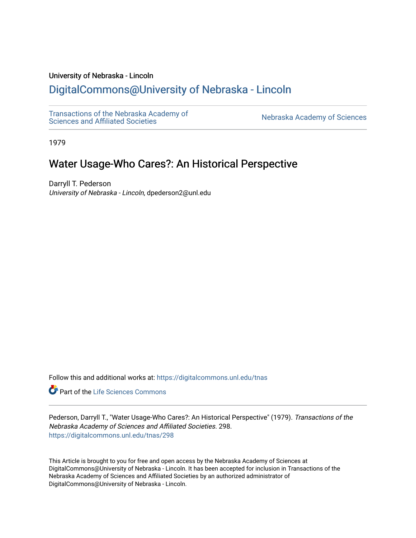### University of Nebraska - Lincoln

# [DigitalCommons@University of Nebraska - Lincoln](https://digitalcommons.unl.edu/)

[Transactions of the Nebraska Academy of](https://digitalcommons.unl.edu/tnas) 

Nebraska Academy of Sciences

1979

# Water Usage-Who Cares?: An Historical Perspective

Darryll T. Pederson University of Nebraska - Lincoln, dpederson2@unl.edu

Follow this and additional works at: [https://digitalcommons.unl.edu/tnas](https://digitalcommons.unl.edu/tnas?utm_source=digitalcommons.unl.edu%2Ftnas%2F298&utm_medium=PDF&utm_campaign=PDFCoverPages) 

**Part of the Life Sciences Commons** 

Pederson, Darryll T., "Water Usage-Who Cares?: An Historical Perspective" (1979). Transactions of the Nebraska Academy of Sciences and Affiliated Societies. 298. [https://digitalcommons.unl.edu/tnas/298](https://digitalcommons.unl.edu/tnas/298?utm_source=digitalcommons.unl.edu%2Ftnas%2F298&utm_medium=PDF&utm_campaign=PDFCoverPages) 

This Article is brought to you for free and open access by the Nebraska Academy of Sciences at DigitalCommons@University of Nebraska - Lincoln. It has been accepted for inclusion in Transactions of the Nebraska Academy of Sciences and Affiliated Societies by an authorized administrator of DigitalCommons@University of Nebraska - Lincoln.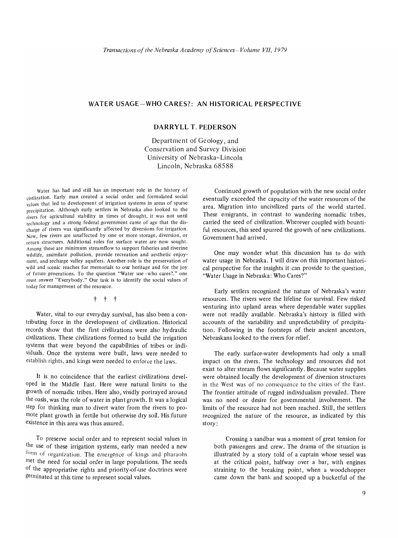## **WATER USAGE-WHO CARES?: AN HISTORICAL PERSPECTIVE**

### **DARRYLL T. PEDERSON**

Department of Geology, and Conservation and Survey Division University of Nebraska-Lincoln Lincoln, Nebraska 68588

Water has had and still has an important role in the history of civilization. Early man created a social order and formulated social values that led to development of irrigation systems in areas of sparse precipitation. Although early settlers in Nebraska also looked to the rivers for agricultural stability in times of drought, it was not until technology and a strong federal government came of age that the discharge of rivers was significantly affected by diversions for irrigation. Now, few rivers are unaffected by one or more storage, diversion, or return structures. Additional roles for surface water are now sought. Among these are minimum streamflow to support fisheries and riverine wildlife, assimilate pollution, provide recreation and aesthetic enjoyment, and recharge valley aquifers. Another role is the preservation of wild and scenic reaches for memorials to our heritage and for the joy of future generations. To the question "Water use-who cares?," one must answer "Everybody." Our task is to identify the social values of today for management of the resource.

#### t t t

Water, vital to our everyday survival, has also been a contributing force in the development of civilization. Historical records show that the first civilizations were also hydraulic civilizations. These civilizations formed to build the irrigation systems that were beyond the capabilities of tribes or individuals. Once the systems were built, laws were needed to establish rights, and kings were needed to enforce the laws.

It is no coincidence that the earliest civilizations developed in the Middle East. Here were natural limits to the growth of nomadic tribes. Here also, vividly portrayed around the oasis, was the role of water in plant growth. It was a logical step for thinking man to divert water from the rivers to promote plant growth in fertile but otherwise dry soil. His future existence in this area was thus assured.

To preserve social order and to represent social values in the use of these irrigation systems, early man needed a new form of organization. The emergence of kings and pharaohs met the need for social order in large populations. The seeds of the appropriative rights and priority-of-use doctrines were germinated at this time to represent social values.

Continued growth of population with the new social order eventually exceeded the capacity of the water resources of the area. Migration into uncivilized parts of the world started. These emigrants, in contrast to wandering nomadic tribes, carried the seed of civilization. Wherever coupled with bountiful resources, this seed spurred the growth of new civilizations. Government had arrived.

One may wonder what this discussion has to do with water usage in Nebraska. I will draw on this important historical perspective for the insights it can provide to the question, "Water Usage in Nebraska: Who Cares?"

Early settlers recognized the nature of Nebraska's water resources. The rivers were the lifeline for survival. Few risked venturing into upland areas where dependable water supplies were not readily available. Nebraska's history is filled with accounts of the variability and unpredictability of precipitation. Following in the footsteps of their ancient ancestors, Nebraskans looked to the rivers for relief.

The early surface-water developments had only a small impact on the rivers. The technology and resources did not exist to alter stream flows significantly. Because water supplies were obtained locally the development of diversion structures in the West was of no consequence to the cities of the East. The frontier attitude of rugged individualism prevailed. There was no need or desire for governmental involvement. The limits of the resource had not been reached. Still, the settlers recognized the nature of the resource, as indicated by this story:

Crossing a sandbar was a moment of great tension for both passengers and crew. The drama of the situation is illustrated by a story told of a captain whose vessel was at the critical point, halfway over a bar, with engines straining to the breaking point, when a woodchopper came down the bank and scooped up a bucketful of the